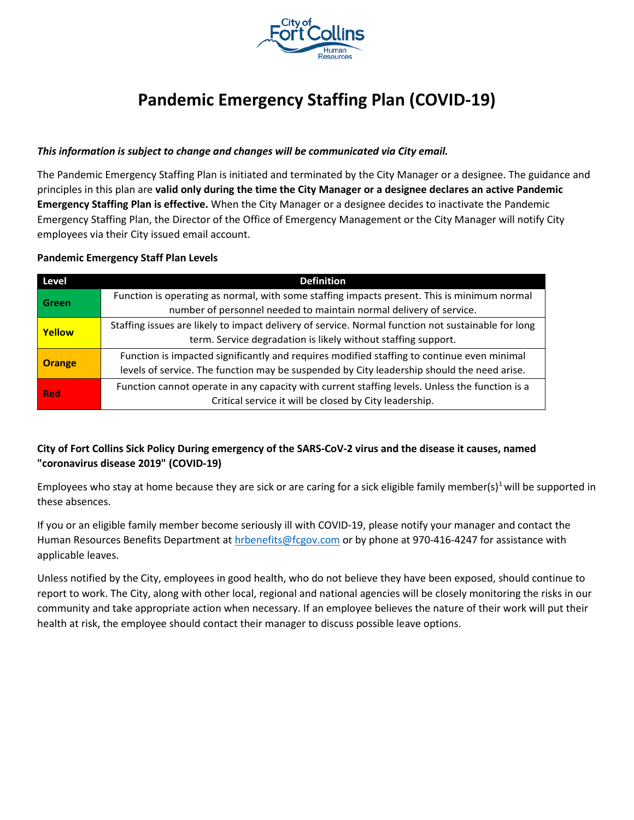

## *This information is subject to change and changes will be communicated via City email.*

The Pandemic Emergency Staffing Plan is initiated and terminated by the City Manager or a designee. The guidance and principles in this plan are **valid only during the time the City Manager or a designee declares an active Pandemic Emergency Staffing Plan is effective.** When the City Manager or a designee decides to inactivate the Pandemic Emergency Staffing Plan, the Director of the Office of Emergency Management or the City Manager will notify City employees via their City issued email account.

#### **Pandemic Emergency Staff Plan Levels**

| Level         | <b>Definition</b>                                                                                                                                                                        |
|---------------|------------------------------------------------------------------------------------------------------------------------------------------------------------------------------------------|
| Green         | Function is operating as normal, with some staffing impacts present. This is minimum normal<br>number of personnel needed to maintain normal delivery of service.                        |
| <b>Yellow</b> | Staffing issues are likely to impact delivery of service. Normal function not sustainable for long<br>term. Service degradation is likely without staffing support.                      |
| <b>Orange</b> | Function is impacted significantly and requires modified staffing to continue even minimal<br>levels of service. The function may be suspended by City leadership should the need arise. |
| <b>Red</b>    | Function cannot operate in any capacity with current staffing levels. Unless the function is a<br>Critical service it will be closed by City leadership.                                 |

## **City of Fort Collins Sick Policy During emergency of the SARS-CoV-2 virus and the disease it causes, named "coronavirus disease 2019" (COVID-19)**

Employees who stay at home because they are sick or are caring for a sick eligible family member(s)<sup>1</sup> will be supported in these absences.

If you or an eligible family member become seriously ill with COVID-19, please notify your manager and contact the Human Resources Benefits Department a[t hrbenefits@fcgov.com](mailto:hr@fcgov.com) or by phone at 970-416-4247 for assistance with applicable leaves.

Unless notified by the City, employees in good health, who do not believe they have been exposed, should continue to report to work. The City, along with other local, regional and national agencies will be closely monitoring the risks in our community and take appropriate action when necessary. If an employee believes the nature of their work will put their health at risk, the employee should contact their manager to discuss possible leave options.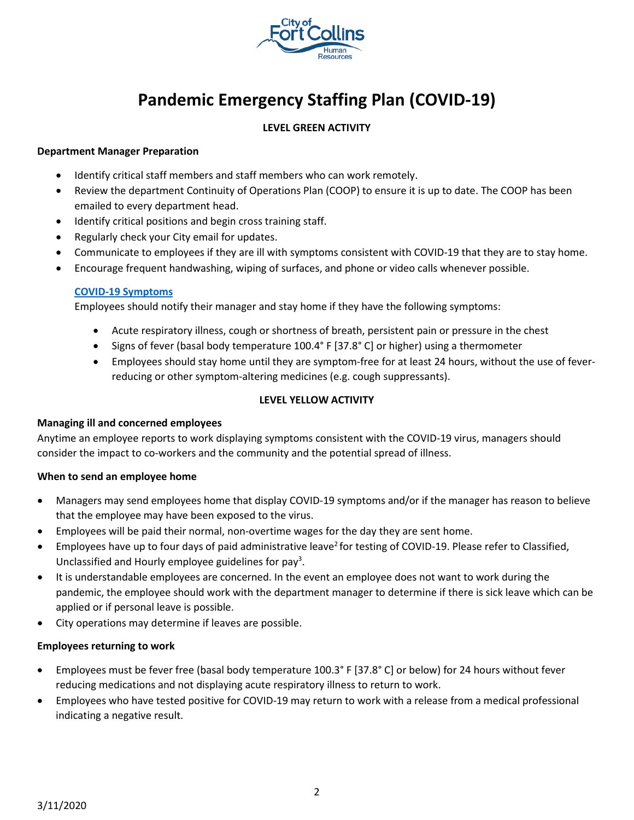

## **LEVEL GREEN ACTIVITY**

### **Department Manager Preparation**

- Identify critical staff members and staff members who can work remotely.
- Review the department Continuity of Operations Plan (COOP) to ensure it is up to date. The COOP has been emailed to every department head.
- Identify critical positions and begin cross training staff.
- Regularly check your City email for updates.
- Communicate to employees if they are ill with symptoms consistent with COVID-19 that they are to stay home.
- Encourage frequent handwashing, wiping of surfaces, and phone or video calls whenever possible.

## **[COVID-19 Symptoms](https://www.cdc.gov/coronavirus/2019-ncov/about/symptoms.html)**

Employees should notify their manager and stay home if they have the following symptoms:

- Acute respiratory illness, cough or shortness of breath, persistent pain or pressure in the chest
- Signs of fever (basal body temperature 100.4° F [37.8° C] or higher) using a thermometer
- Employees should stay home until they are symptom-free for at least 24 hours, without the use of feverreducing or other symptom-altering medicines (e.g. cough suppressants).

## **LEVEL YELLOW ACTIVITY**

### **Managing ill and concerned employees**

Anytime an employee reports to work displaying symptoms consistent with the COVID-19 virus, managers should consider the impact to co-workers and the community and the potential spread of illness.

### **When to send an employee home**

- Managers may send employees home that display COVID-19 symptoms and/or if the manager has reason to believe that the employee may have been exposed to the virus.
- Employees will be paid their normal, non-overtime wages for the day they are sent home.
- Employees have up to four days of paid administrative leave<sup>2</sup> for testing of COVID-19. Please refer to Classified, Unclassified and Hourly employee guidelines for pay<sup>3</sup>.
- It is understandable employees are concerned. In the event an employee does not want to work during the pandemic, the employee should work with the department manager to determine if there is sick leave which can be applied or if personal leave is possible.
- City operations may determine if leaves are possible.

## **Employees returning to work**

- Employees must be fever free (basal body temperature 100.3° F [37.8° C] or below) for 24 hours without fever reducing medications and not displaying acute respiratory illness to return to work.
- Employees who have tested positive for COVID-19 may return to work with a release from a medical professional indicating a negative result.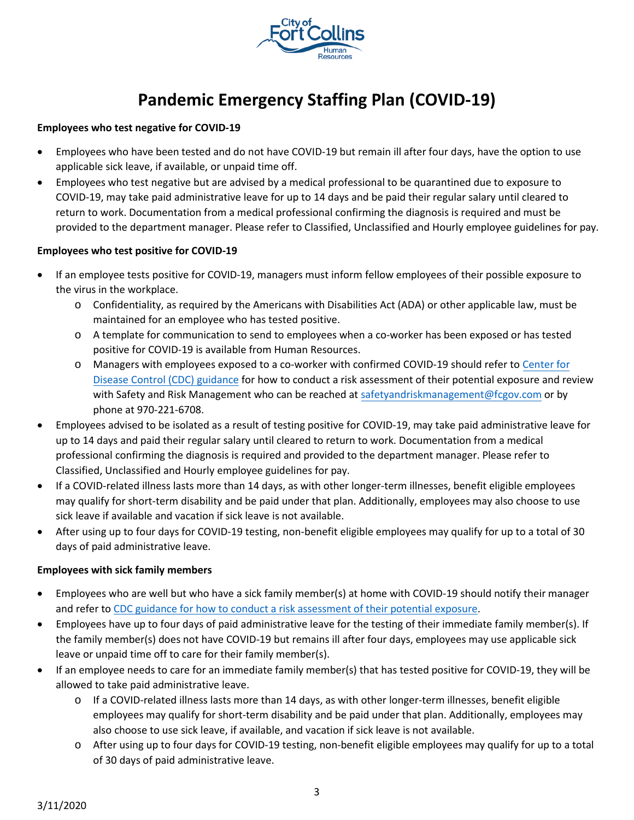

### **Employees who test negative for COVID-19**

- Employees who have been tested and do not have COVID-19 but remain ill after four days, have the option to use applicable sick leave, if available, or unpaid time off.
- Employees who test negative but are advised by a medical professional to be quarantined due to exposure to COVID-19, may take paid administrative leave for up to 14 days and be paid their regular salary until cleared to return to work. Documentation from a medical professional confirming the diagnosis is required and must be provided to the department manager. Please refer to Classified, Unclassified and Hourly employee guidelines for pay.

## **Employees who test positive for COVID-19**

- If an employee tests positive for COVID-19, managers must inform fellow employees of their possible exposure to the virus in the workplace.
	- o Confidentiality, as required by the Americans with Disabilities Act (ADA) or other applicable law, must be maintained for an employee who has tested positive.
	- o A template for communication to send to employees when a co-worker has been exposed or has tested positive for COVID-19 is available from Human Resources.
	- o Managers with employees exposed to a co-worker with confirmed COVID-19 should refer to [Center for](https://www.cdc.gov/coronavirus/2019-ncov/index.html) [Disease Control \(CDC\) guidance](https://www.cdc.gov/coronavirus/2019-ncov/index.html) for how to conduct a risk assessment of their potential exposure and review with Safety and Risk Management who can be reached at [safetyandriskmanagement@fcgov.com](mailto:safetyandriskmanagement@fcgov.com) or by phone at 970-221-6708.
- Employees advised to be isolated as a result of testing positive for COVID-19, may take paid administrative leave for up to 14 days and paid their regular salary until cleared to return to work. Documentation from a medical professional confirming the diagnosis is required and provided to the department manager. Please refer to Classified, Unclassified and Hourly employee guidelines for pay.
- If a COVID-related illness lasts more than 14 days, as with other longer-term illnesses, benefit eligible employees may qualify for short-term disability and be paid under that plan. Additionally, employees may also choose to use sick leave if available and vacation if sick leave is not available.
- After using up to four days for COVID-19 testing, non-benefit eligible employees may qualify for up to a total of 30 days of paid administrative leave.

### **Employees with sick family members**

- Employees who are well but who have a sick family member(s) at home with COVID-19 should notify their manager and refer t[o CDC guidance for how to conduct a risk assessment of their potential exposure.](https://www.cdc.gov/coronavirus/2019-ncov/about/symptoms.html)
- Employees have up to four days of paid administrative leave for the testing of their immediate family member(s). If the family member(s) does not have COVID-19 but remains ill after four days, employees may use applicable sick leave or unpaid time off to care for their family member(s).
- If an employee needs to care for an immediate family member(s) that has tested positive for COVID-19, they will be allowed to take paid administrative leave.
	- o If a COVID-related illness lasts more than 14 days, as with other longer-term illnesses, benefit eligible employees may qualify for short-term disability and be paid under that plan. Additionally, employees may also choose to use sick leave, if available, and vacation if sick leave is not available.
	- o After using up to four days for COVID-19 testing, non-benefit eligible employees may qualify for up to a total of 30 days of paid administrative leave.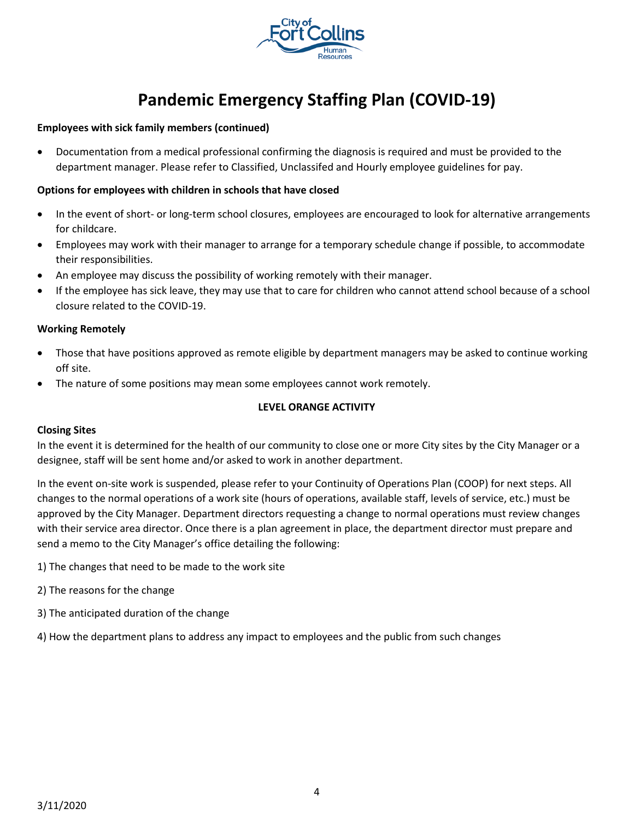

### **Employees with sick family members (continued)**

• Documentation from a medical professional confirming the diagnosis is required and must be provided to the department manager. Please refer to Classified, Unclassifed and Hourly employee guidelines for pay.

### **Options for employees with children in schools that have closed**

- In the event of short- or long-term school closures, employees are encouraged to look for alternative arrangements for childcare.
- Employees may work with their manager to arrange for a temporary schedule change if possible, to accommodate their responsibilities.
- An employee may discuss the possibility of working remotely with their manager.
- If the employee has sick leave, they may use that to care for children who cannot attend school because of a school closure related to the COVID-19.

### **Working Remotely**

- Those that have positions approved as remote eligible by department managers may be asked to continue working off site.
- The nature of some positions may mean some employees cannot work remotely.

## **LEVEL ORANGE ACTIVITY**

### **Closing Sites**

In the event it is determined for the health of our community to close one or more City sites by the City Manager or a designee, staff will be sent home and/or asked to work in another department.

In the event on-site work is suspended, please refer to your Continuity of Operations Plan (COOP) for next steps. All changes to the normal operations of a work site (hours of operations, available staff, levels of service, etc.) must be approved by the City Manager. Department directors requesting a change to normal operations must review changes with their service area director. Once there is a plan agreement in place, the department director must prepare and send a memo to the City Manager's office detailing the following:

- 1) The changes that need to be made to the work site
- 2) The reasons for the change
- 3) The anticipated duration of the change

4) How the department plans to address any impact to employees and the public from such changes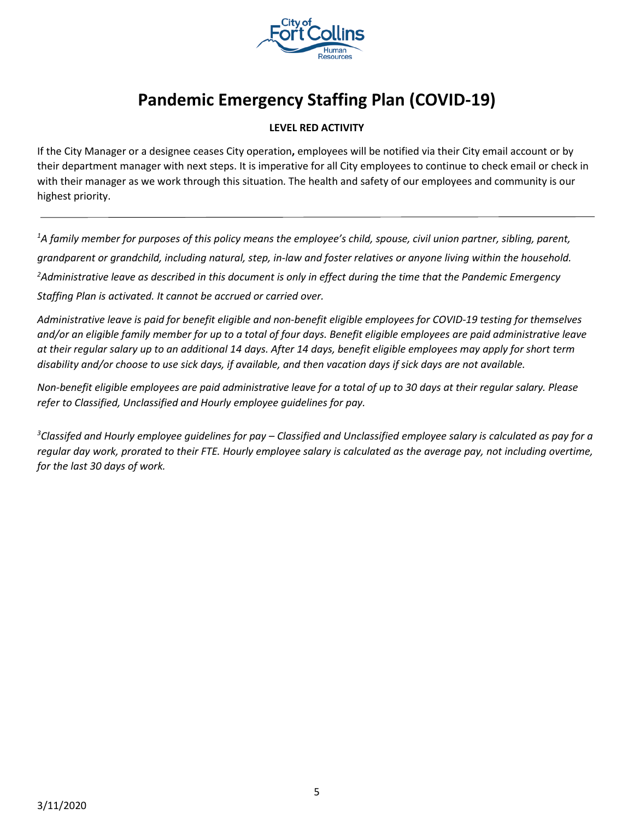

## **LEVEL RED ACTIVITY**

If the City Manager or a designee ceases City operation**,** employees will be notified via their City email account or by their department manager with next steps. It is imperative for all City employees to continue to check email or check in with their manager as we work through this situation. The health and safety of our employees and community is our highest priority.

*<sup>1</sup>A family member for purposes of this policy means the employee's child, spouse, civil union partner, sibling, parent, grandparent or grandchild, including natural, step, in-law and foster relatives or anyone living within the household. <sup>2</sup>Administrative leave as described in this document is only in effect during the time that the Pandemic Emergency Staffing Plan is activated. It cannot be accrued or carried over.*

*Administrative leave is paid for benefit eligible and non-benefit eligible employees for COVID-19 testing for themselves and/or an eligible family member for up to a total of four days. Benefit eligible employees are paid administrative leave at their regular salary up to an additional 14 days. After 14 days, benefit eligible employees may apply for short term disability and/or choose to use sick days, if available, and then vacation days if sick days are not available.* 

*Non-benefit eligible employees are paid administrative leave for a total of up to 30 days at their regular salary. Please refer to Classified, Unclassified and Hourly employee guidelines for pay.* 

*<sup>3</sup>Classifed and Hourly employee guidelines for pay – Classified and Unclassified employee salary is calculated as pay for a regular day work, prorated to their FTE. Hourly employee salary is calculated as the average pay, not including overtime, for the last 30 days of work.*